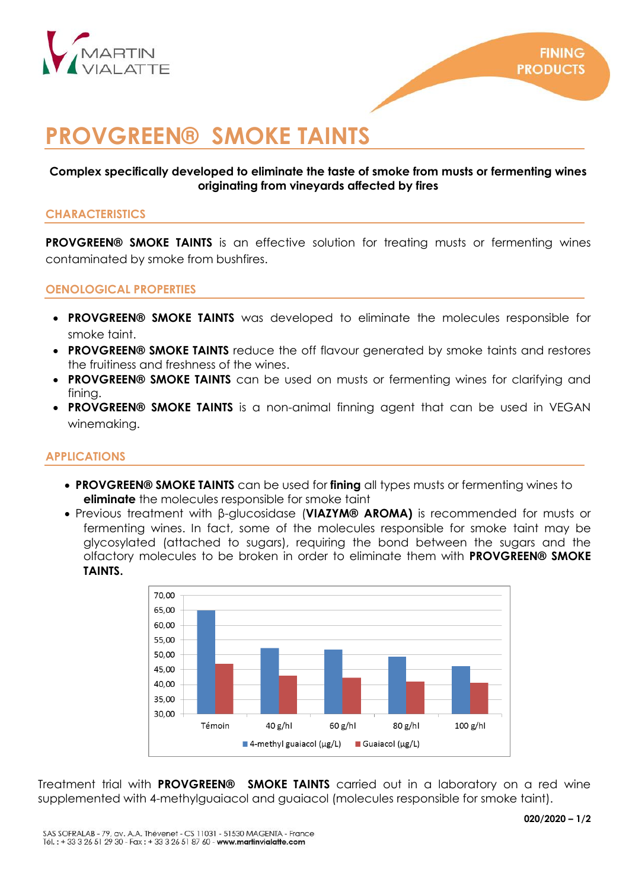

# **PROVGREEN® SMOKE TAINTS**

# **Complex specifically developed to eliminate the taste of smoke from musts or fermenting wines originating from vineyards affected by fires**

# **CHARACTERISTICS**

**PROVGREEN® SMOKE TAINTS** is an effective solution for treating musts or fermenting wines contaminated by smoke from bushfires.

# **OENOLOGICAL PROPERTIES**

- **PROVGREEN® SMOKE TAINTS** was developed to eliminate the molecules responsible for smoke taint.
- **PROVGREEN® SMOKE TAINTS** reduce the off flavour generated by smoke taints and restores the fruitiness and freshness of the wines.
- **PROVGREEN® SMOKE TAINTS** can be used on musts or fermenting wines for clarifying and fining.
- **PROVGREEN® SMOKE TAINTS** is a non-animal finning agent that can be used in VEGAN winemaking.

## **APPLICATIONS**

- **PROVGREEN® SMOKE TAINTS** can be used for **fining** all types musts or fermenting wines to **eliminate** the molecules responsible for smoke taint
- Previous treatment with β-glucosidase (**VIAZYM® AROMA)** is recommended for musts or fermenting wines. In fact, some of the molecules responsible for smoke taint may be glycosylated (attached to sugars), requiring the bond between the sugars and the olfactory molecules to be broken in order to eliminate them with **PROVGREEN® SMOKE TAINTS.**



Treatment trial with **PROVGREEN® SMOKE TAINTS** carried out in a laboratory on a red wine supplemented with 4-methylguaiacol and guaiacol (molecules responsible for smoke taint).